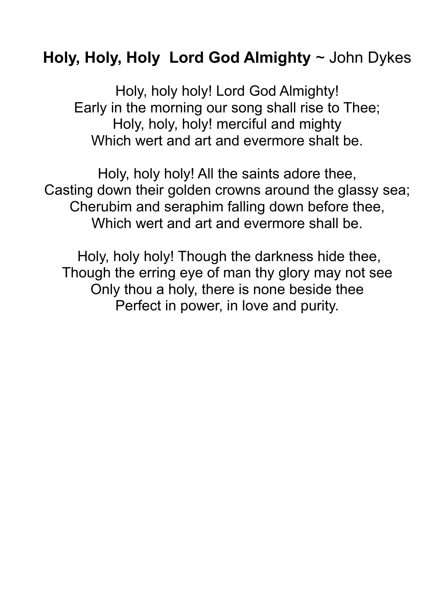## Holy, Holy, Holy Lord God Almighty  $\sim$  John Dykes

Holy, holy holy! Lord God Almighty! Early in the morning our song shall rise to Thee; Holy, holy, holy! merciful and mighty Which wert and art and evermore shalt be.

Holy, holy holy! All the saints adore thee, Casting down their golden crowns around the glassy sea; Cherubim and seraphim falling down before thee, Which wert and art and evermore shall be.

Holy, holy holy! Though the darkness hide thee, Though the erring eye of man thy glory may not see Only thou a holy, there is none beside thee Perfect in power, in love and purity.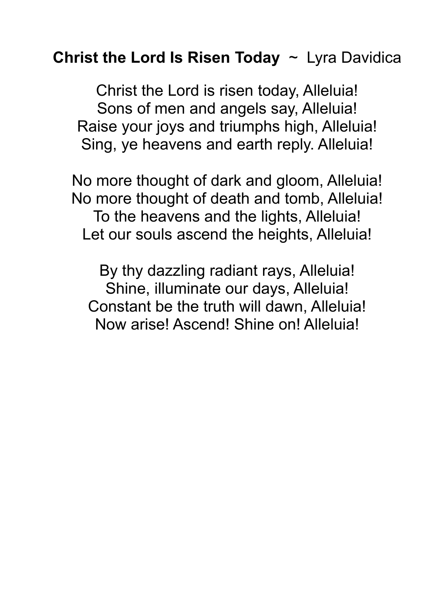## Christ the Lord Is Risen Today  $\sim$  Lyra Davidica

Christ the Lord is risen today, Alleluia! Sons of men and angels say, Alleluia! Raise your joys and triumphs high, Alleluia! Sing, ye heavens and earth reply. Alleluia!

No more thought of dark and gloom, Alleluia! No more thought of death and tomb, Alleluia! To the heavens and the lights, Alleluia! Let our souls ascend the heights, Alleluia!

By thy dazzling radiant rays, Alleluia! Shine, illuminate our days, Alleluia! Constant be the truth will dawn, Alleluia! Now arise! Ascend! Shine on! Alleluia!